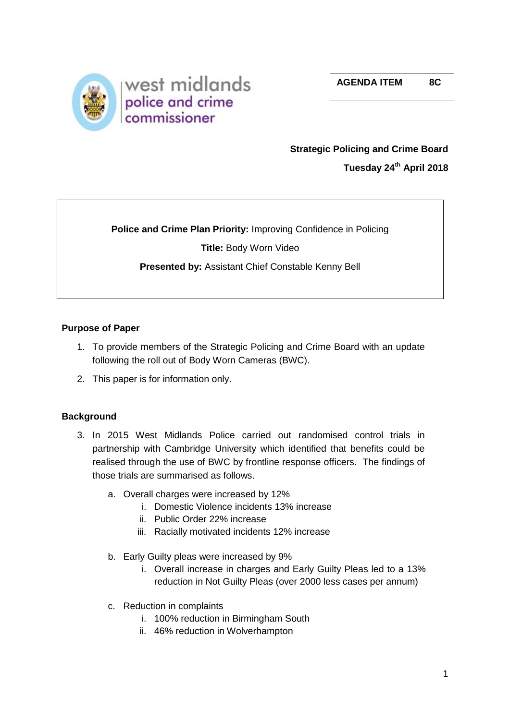**AGENDA ITEM 8C**



# **Strategic Policing and Crime Board Tuesday 24th April 2018**

# **Police and Crime Plan Priority:** Improving Confidence in Policing

**Title:** Body Worn Video

# **Presented by:** Assistant Chief Constable Kenny Bell

## **Purpose of Paper**

- 1. To provide members of the Strategic Policing and Crime Board with an update following the roll out of Body Worn Cameras (BWC).
- 2. This paper is for information only.

#### **Background**

- 3. In 2015 West Midlands Police carried out randomised control trials in partnership with Cambridge University which identified that benefits could be realised through the use of BWC by frontline response officers. The findings of those trials are summarised as follows.
	- a. Overall charges were increased by 12%
		- i. Domestic Violence incidents 13% increase
		- ii. Public Order 22% increase
		- iii. Racially motivated incidents 12% increase
	- b. Early Guilty pleas were increased by 9%
		- i. Overall increase in charges and Early Guilty Pleas led to a 13% reduction in Not Guilty Pleas (over 2000 less cases per annum)
	- c. Reduction in complaints
		- i. 100% reduction in Birmingham South
		- ii. 46% reduction in Wolverhampton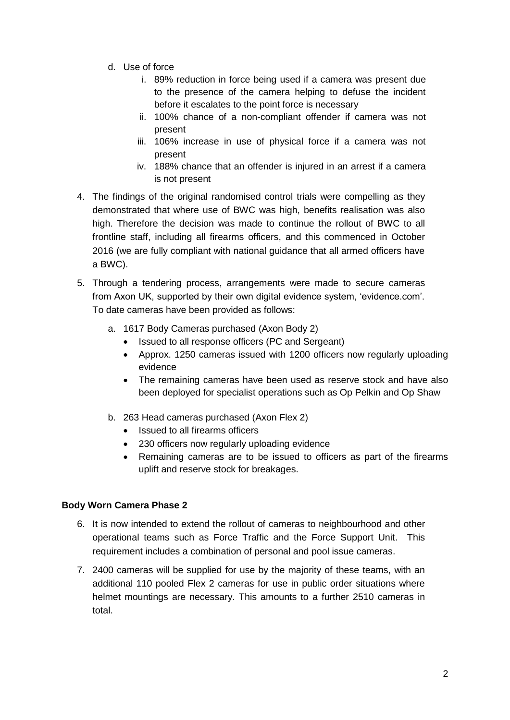- d. Use of force
	- i. 89% reduction in force being used if a camera was present due to the presence of the camera helping to defuse the incident before it escalates to the point force is necessary
	- ii. 100% chance of a non-compliant offender if camera was not present
	- iii. 106% increase in use of physical force if a camera was not present
	- iv. 188% chance that an offender is injured in an arrest if a camera is not present
- 4. The findings of the original randomised control trials were compelling as they demonstrated that where use of BWC was high, benefits realisation was also high. Therefore the decision was made to continue the rollout of BWC to all frontline staff, including all firearms officers, and this commenced in October 2016 (we are fully compliant with national guidance that all armed officers have a BWC).
- 5. Through a tendering process, arrangements were made to secure cameras from Axon UK, supported by their own digital evidence system, 'evidence.com'. To date cameras have been provided as follows:
	- a. 1617 Body Cameras purchased (Axon Body 2)
		- Issued to all response officers (PC and Sergeant)
		- Approx. 1250 cameras issued with 1200 officers now regularly uploading evidence
		- The remaining cameras have been used as reserve stock and have also been deployed for specialist operations such as Op Pelkin and Op Shaw
	- b. 263 Head cameras purchased (Axon Flex 2)
		- Issued to all firearms officers
		- 230 officers now regularly uploading evidence
		- Remaining cameras are to be issued to officers as part of the firearms uplift and reserve stock for breakages.

# **Body Worn Camera Phase 2**

- 6. It is now intended to extend the rollout of cameras to neighbourhood and other operational teams such as Force Traffic and the Force Support Unit. This requirement includes a combination of personal and pool issue cameras.
- 7. 2400 cameras will be supplied for use by the majority of these teams, with an additional 110 pooled Flex 2 cameras for use in public order situations where helmet mountings are necessary. This amounts to a further 2510 cameras in total.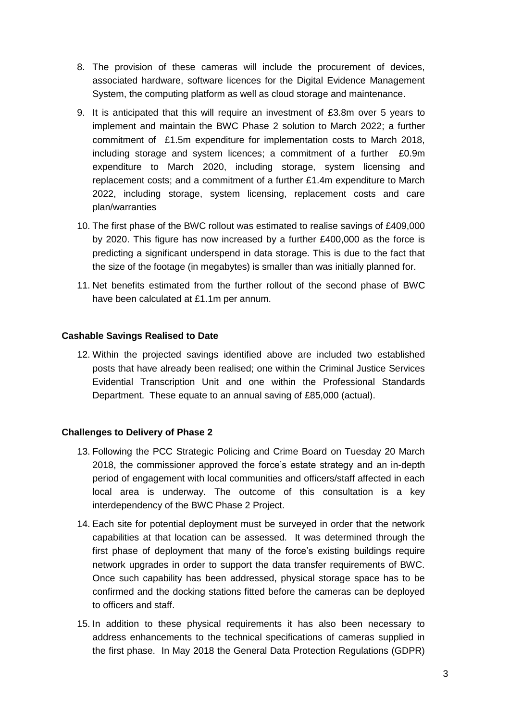- 8. The provision of these cameras will include the procurement of devices, associated hardware, software licences for the Digital Evidence Management System, the computing platform as well as cloud storage and maintenance.
- 9. It is anticipated that this will require an investment of £3.8m over 5 years to implement and maintain the BWC Phase 2 solution to March 2022; a further commitment of £1.5m expenditure for implementation costs to March 2018, including storage and system licences; a commitment of a further £0.9m expenditure to March 2020, including storage, system licensing and replacement costs; and a commitment of a further £1.4m expenditure to March 2022, including storage, system licensing, replacement costs and care plan/warranties
- 10. The first phase of the BWC rollout was estimated to realise savings of £409,000 by 2020. This figure has now increased by a further £400,000 as the force is predicting a significant underspend in data storage. This is due to the fact that the size of the footage (in megabytes) is smaller than was initially planned for.
- 11. Net benefits estimated from the further rollout of the second phase of BWC have been calculated at £1.1m per annum.

## **Cashable Savings Realised to Date**

12. Within the projected savings identified above are included two established posts that have already been realised; one within the Criminal Justice Services Evidential Transcription Unit and one within the Professional Standards Department. These equate to an annual saving of £85,000 (actual).

#### **Challenges to Delivery of Phase 2**

- 13. Following the PCC Strategic Policing and Crime Board on Tuesday 20 March 2018, the commissioner approved the force's estate strategy and an in-depth period of engagement with local communities and officers/staff affected in each local area is underway. The outcome of this consultation is a key interdependency of the BWC Phase 2 Project.
- 14. Each site for potential deployment must be surveyed in order that the network capabilities at that location can be assessed. It was determined through the first phase of deployment that many of the force's existing buildings require network upgrades in order to support the data transfer requirements of BWC. Once such capability has been addressed, physical storage space has to be confirmed and the docking stations fitted before the cameras can be deployed to officers and staff.
- 15. In addition to these physical requirements it has also been necessary to address enhancements to the technical specifications of cameras supplied in the first phase. In May 2018 the General Data Protection Regulations (GDPR)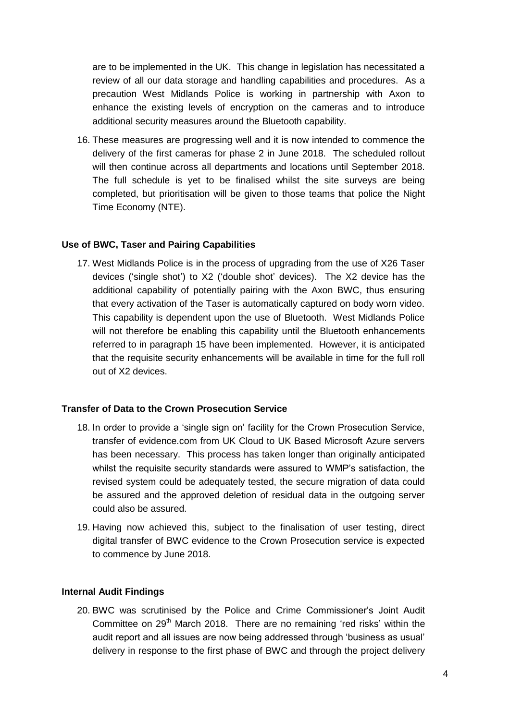are to be implemented in the UK. This change in legislation has necessitated a review of all our data storage and handling capabilities and procedures. As a precaution West Midlands Police is working in partnership with Axon to enhance the existing levels of encryption on the cameras and to introduce additional security measures around the Bluetooth capability.

16. These measures are progressing well and it is now intended to commence the delivery of the first cameras for phase 2 in June 2018. The scheduled rollout will then continue across all departments and locations until September 2018. The full schedule is yet to be finalised whilst the site surveys are being completed, but prioritisation will be given to those teams that police the Night Time Economy (NTE).

#### **Use of BWC, Taser and Pairing Capabilities**

17. West Midlands Police is in the process of upgrading from the use of X26 Taser devices ('single shot') to X2 ('double shot' devices). The X2 device has the additional capability of potentially pairing with the Axon BWC, thus ensuring that every activation of the Taser is automatically captured on body worn video. This capability is dependent upon the use of Bluetooth. West Midlands Police will not therefore be enabling this capability until the Bluetooth enhancements referred to in paragraph 15 have been implemented. However, it is anticipated that the requisite security enhancements will be available in time for the full roll out of X2 devices.

#### **Transfer of Data to the Crown Prosecution Service**

- 18. In order to provide a 'single sign on' facility for the Crown Prosecution Service, transfer of evidence.com from UK Cloud to UK Based Microsoft Azure servers has been necessary. This process has taken longer than originally anticipated whilst the requisite security standards were assured to WMP's satisfaction, the revised system could be adequately tested, the secure migration of data could be assured and the approved deletion of residual data in the outgoing server could also be assured.
- 19. Having now achieved this, subject to the finalisation of user testing, direct digital transfer of BWC evidence to the Crown Prosecution service is expected to commence by June 2018.

#### **Internal Audit Findings**

20. BWC was scrutinised by the Police and Crime Commissioner's Joint Audit Committee on 29<sup>th</sup> March 2018. There are no remaining 'red risks' within the audit report and all issues are now being addressed through 'business as usual' delivery in response to the first phase of BWC and through the project delivery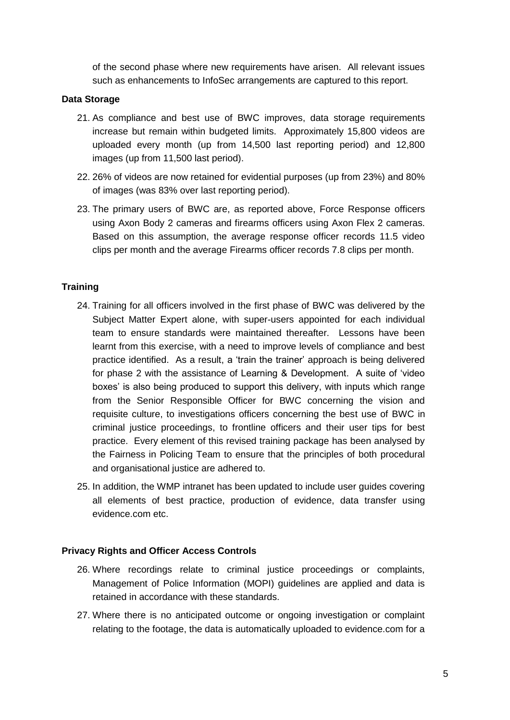of the second phase where new requirements have arisen. All relevant issues such as enhancements to InfoSec arrangements are captured to this report.

## **Data Storage**

- 21. As compliance and best use of BWC improves, data storage requirements increase but remain within budgeted limits. Approximately 15,800 videos are uploaded every month (up from 14,500 last reporting period) and 12,800 images (up from 11,500 last period).
- 22. 26% of videos are now retained for evidential purposes (up from 23%) and 80% of images (was 83% over last reporting period).
- 23. The primary users of BWC are, as reported above, Force Response officers using Axon Body 2 cameras and firearms officers using Axon Flex 2 cameras. Based on this assumption, the average response officer records 11.5 video clips per month and the average Firearms officer records 7.8 clips per month.

# **Training**

- 24. Training for all officers involved in the first phase of BWC was delivered by the Subject Matter Expert alone, with super-users appointed for each individual team to ensure standards were maintained thereafter. Lessons have been learnt from this exercise, with a need to improve levels of compliance and best practice identified. As a result, a 'train the trainer' approach is being delivered for phase 2 with the assistance of Learning & Development. A suite of 'video boxes' is also being produced to support this delivery, with inputs which range from the Senior Responsible Officer for BWC concerning the vision and requisite culture, to investigations officers concerning the best use of BWC in criminal justice proceedings, to frontline officers and their user tips for best practice. Every element of this revised training package has been analysed by the Fairness in Policing Team to ensure that the principles of both procedural and organisational justice are adhered to.
- 25. In addition, the WMP intranet has been updated to include user guides covering all elements of best practice, production of evidence, data transfer using evidence.com etc.

#### **Privacy Rights and Officer Access Controls**

- 26. Where recordings relate to criminal justice proceedings or complaints, Management of Police Information (MOPI) guidelines are applied and data is retained in accordance with these standards.
- 27. Where there is no anticipated outcome or ongoing investigation or complaint relating to the footage, the data is automatically uploaded to evidence.com for a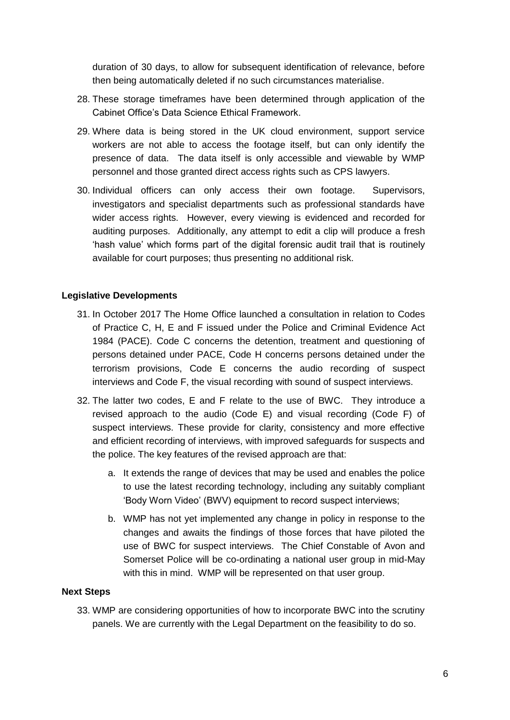duration of 30 days, to allow for subsequent identification of relevance, before then being automatically deleted if no such circumstances materialise.

- 28. These storage timeframes have been determined through application of the Cabinet Office's Data Science Ethical Framework.
- 29. Where data is being stored in the UK cloud environment, support service workers are not able to access the footage itself, but can only identify the presence of data. The data itself is only accessible and viewable by WMP personnel and those granted direct access rights such as CPS lawyers.
- 30. Individual officers can only access their own footage. Supervisors, investigators and specialist departments such as professional standards have wider access rights. However, every viewing is evidenced and recorded for auditing purposes. Additionally, any attempt to edit a clip will produce a fresh 'hash value' which forms part of the digital forensic audit trail that is routinely available for court purposes; thus presenting no additional risk.

## **Legislative Developments**

- 31. In October 2017 The Home Office launched a consultation in relation to Codes of Practice C, H, E and F issued under the Police and Criminal Evidence Act 1984 (PACE). Code C concerns the detention, treatment and questioning of persons detained under PACE, Code H concerns persons detained under the terrorism provisions, Code E concerns the audio recording of suspect interviews and Code F, the visual recording with sound of suspect interviews.
- 32. The latter two codes, E and F relate to the use of BWC. They introduce a revised approach to the audio (Code E) and visual recording (Code F) of suspect interviews. These provide for clarity, consistency and more effective and efficient recording of interviews, with improved safeguards for suspects and the police. The key features of the revised approach are that:
	- a. It extends the range of devices that may be used and enables the police to use the latest recording technology, including any suitably compliant 'Body Worn Video' (BWV) equipment to record suspect interviews;
	- b. WMP has not yet implemented any change in policy in response to the changes and awaits the findings of those forces that have piloted the use of BWC for suspect interviews. The Chief Constable of Avon and Somerset Police will be co-ordinating a national user group in mid-May with this in mind. WMP will be represented on that user group.

#### **Next Steps**

33. WMP are considering opportunities of how to incorporate BWC into the scrutiny panels. We are currently with the Legal Department on the feasibility to do so.